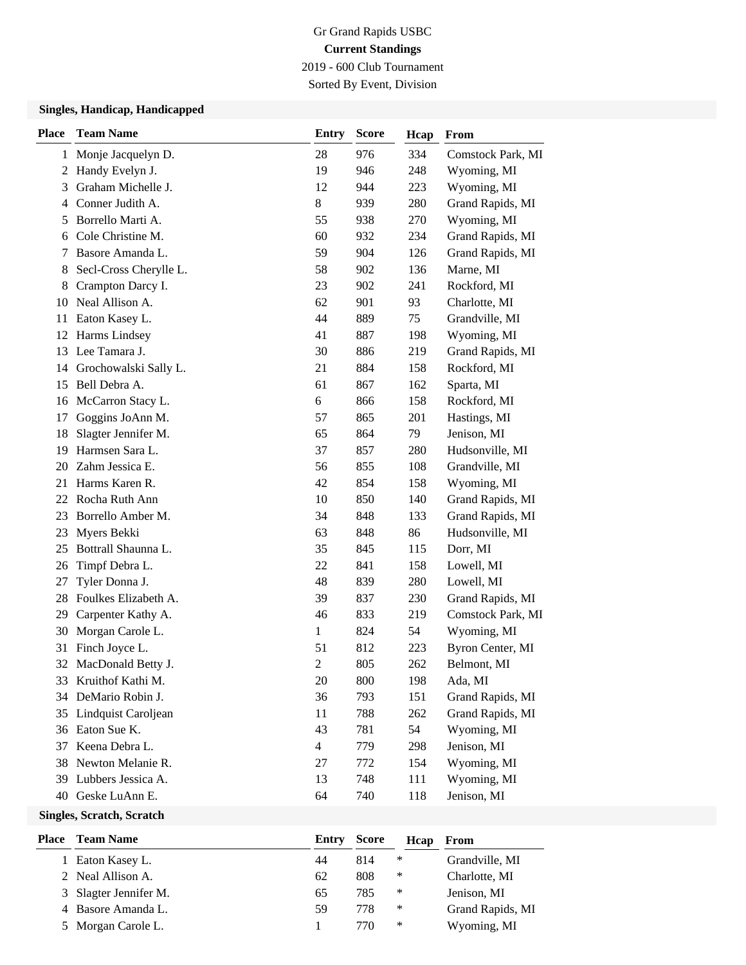## Gr Grand Rapids USBC **Current Standings** 2019 - 600 Club Tournament

Sorted By Event, Division

### **Singles, Handicap, Handicapped**

| <b>Place</b> | <b>Team Name</b>       | <b>Entry</b>   | <b>Score</b> | Hcap | From              |
|--------------|------------------------|----------------|--------------|------|-------------------|
| 1            | Monje Jacquelyn D.     | 28             | 976          | 334  | Comstock Park, MI |
| 2            | Handy Evelyn J.        | 19             | 946          | 248  | Wyoming, MI       |
| 3            | Graham Michelle J.     | 12             | 944          | 223  | Wyoming, MI       |
| 4            | Conner Judith A.       | 8              | 939          | 280  | Grand Rapids, MI  |
| 5            | Borrello Marti A.      | 55             | 938          | 270  | Wyoming, MI       |
| 6            | Cole Christine M.      | 60             | 932          | 234  | Grand Rapids, MI  |
| 7            | Basore Amanda L.       | 59             | 904          | 126  | Grand Rapids, MI  |
| 8            | Secl-Cross Cherylle L. | 58             | 902          | 136  | Marne, MI         |
| 8            | Crampton Darcy I.      | 23             | 902          | 241  | Rockford, MI      |
| 10           | Neal Allison A.        | 62             | 901          | 93   | Charlotte, MI     |
| 11           | Eaton Kasey L.         | 44             | 889          | 75   | Grandville, MI    |
| 12           | Harms Lindsey          | 41             | 887          | 198  | Wyoming, MI       |
| 13           | Lee Tamara J.          | 30             | 886          | 219  | Grand Rapids, MI  |
| 14           | Grochowalski Sally L.  | 21             | 884          | 158  | Rockford, MI      |
| 15           | Bell Debra A.          | 61             | 867          | 162  | Sparta, MI        |
| 16           | McCarron Stacy L.      | 6              | 866          | 158  | Rockford, MI      |
| 17           | Goggins JoAnn M.       | 57             | 865          | 201  | Hastings, MI      |
| 18           | Slagter Jennifer M.    | 65             | 864          | 79   | Jenison, MI       |
| 19           | Harmsen Sara L.        | 37             | 857          | 280  | Hudsonville, MI   |
| 20           | Zahm Jessica E.        | 56             | 855          | 108  | Grandville, MI    |
| 21           | Harms Karen R.         | 42             | 854          | 158  | Wyoming, MI       |
| 22           | Rocha Ruth Ann         | 10             | 850          | 140  | Grand Rapids, MI  |
| 23           | Borrello Amber M.      | 34             | 848          | 133  | Grand Rapids, MI  |
| 23           | Myers Bekki            | 63             | 848          | 86   | Hudsonville, MI   |
| 25           | Bottrall Shaunna L.    | 35             | 845          | 115  | Dorr, MI          |
| 26           | Timpf Debra L.         | 22             | 841          | 158  | Lowell, MI        |
| 27           | Tyler Donna J.         | 48             | 839          | 280  | Lowell, MI        |
| 28           | Foulkes Elizabeth A.   | 39             | 837          | 230  | Grand Rapids, MI  |
| 29           | Carpenter Kathy A.     | 46             | 833          | 219  | Comstock Park, MI |
| 30           | Morgan Carole L.       | $\mathbf{1}$   | 824          | 54   | Wyoming, MI       |
| 31           | Finch Joyce L.         | 51             | 812          | 223  | Byron Center, MI  |
| 32           | MacDonald Betty J.     | $\mathfrak{2}$ | 805          | 262  | Belmont, MI       |
| 33           | Kruithof Kathi M.      | 20             | 800          | 198  | Ada, MI           |
| 34           | DeMario Robin J.       | 36             | 793          | 151  | Grand Rapids, MI  |
| 35           | Lindquist Caroljean    | 11             | 788          | 262  | Grand Rapids, MI  |
| 36           | Eaton Sue K.           | 43             | 781          | 54   | Wyoming, MI       |
| 37           | Keena Debra L.         | $\overline{4}$ | 779          | 298  | Jenison, MI       |
| 38           | Newton Melanie R.      | 27             | 772          | 154  | Wyoming, MI       |
| 39           | Lubbers Jessica A.     | 13             | 748          | 111  | Wyoming, MI       |
| 40           | Geske LuAnn E.         | 64             | 740          | 118  | Jenison, MI       |

#### **Singles, Scratch, Scratch**

| <b>Team Name</b>      | Entry | <b>Score</b> | Hcap | From             |
|-----------------------|-------|--------------|------|------------------|
| Eaton Kasey L.        | 44    | 814          | ∗    | Grandville, MI   |
| 2 Neal Allison A.     | 62    | 808          | ∗    | Charlotte, MI    |
| 3 Slagter Jennifer M. | 65    | 785          | ∗    | Jenison, MI      |
| 4 Basore Amanda L.    | 59    | 778          | ∗    | Grand Rapids, MI |
| 5 Morgan Carole L.    |       | 770          | ∗    | Wyoming, MI      |
|                       |       |              |      |                  |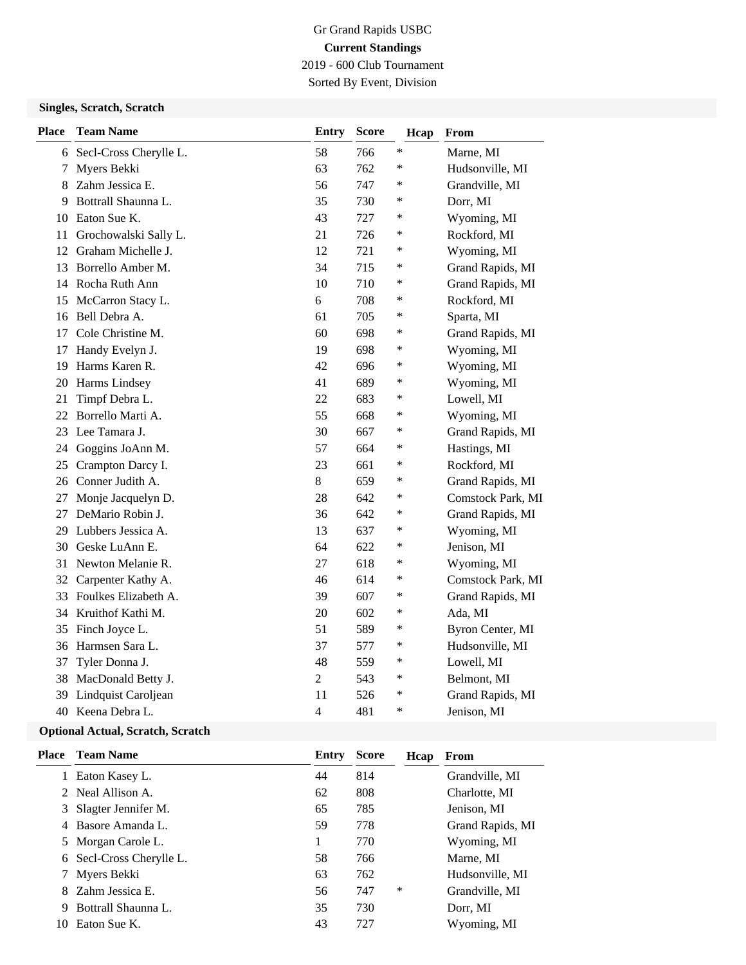# Gr Grand Rapids USBC **Current Standings** 2019 - 600 Club Tournament

Sorted By Event, Division

### **Singles, Scratch, Scratch**

| <b>Place</b> | <b>Team Name</b>       | Entry            | <b>Score</b> | Hcap   | From              |
|--------------|------------------------|------------------|--------------|--------|-------------------|
| 6            | Secl-Cross Cherylle L. | 58               | 766          | ∗      | Marne, MI         |
| 7            | Myers Bekki            | 63               | 762          | $\ast$ | Hudsonville, MI   |
| 8            | Zahm Jessica E.        | 56               | 747          | ∗      | Grandville, MI    |
| 9            | Bottrall Shaunna L.    | 35               | 730          | ∗      | Dorr, MI          |
| 10           | Eaton Sue K.           | 43               | 727          | ∗      | Wyoming, MI       |
| 11           | Grochowalski Sally L.  | 21               | 726          | ∗      | Rockford, MI      |
| 12           | Graham Michelle J.     | 12               | 721          | ∗      | Wyoming, MI       |
| 13           | Borrello Amber M.      | 34               | 715          | ∗      | Grand Rapids, MI  |
| 14           | Rocha Ruth Ann         | 10               | 710          | ∗      | Grand Rapids, MI  |
| 15           | McCarron Stacy L.      | 6                | 708          | ∗      | Rockford, MI      |
| 16           | Bell Debra A.          | 61               | 705          | ∗      | Sparta, MI        |
| 17           | Cole Christine M.      | 60               | 698          | ∗      | Grand Rapids, MI  |
| 17           | Handy Evelyn J.        | 19               | 698          | ∗      | Wyoming, MI       |
| 19           | Harms Karen R.         | 42               | 696          | ∗      | Wyoming, MI       |
| 20           | Harms Lindsey          | 41               | 689          | ∗      | Wyoming, MI       |
| 21           | Timpf Debra L.         | 22               | 683          | ∗      | Lowell, MI        |
| 22           | Borrello Marti A.      | 55               | 668          | ∗      | Wyoming, MI       |
| 23           | Lee Tamara J.          | 30               | 667          | ∗      | Grand Rapids, MI  |
| 24           | Goggins JoAnn M.       | 57               | 664          | ∗      | Hastings, MI      |
| 25           | Crampton Darcy I.      | 23               | 661          | ∗      | Rockford, MI      |
|              | 26 Conner Judith A.    | 8                | 659          | ∗      | Grand Rapids, MI  |
| 27           | Monje Jacquelyn D.     | 28               | 642          | ∗      | Comstock Park, MI |
| 27           | DeMario Robin J.       | 36               | 642          | ∗      | Grand Rapids, MI  |
| 29           | Lubbers Jessica A.     | 13               | 637          | ∗      | Wyoming, MI       |
| 30           | Geske LuAnn E.         | 64               | 622          | ∗      | Jenison, MI       |
| 31           | Newton Melanie R.      | 27               | 618          | ∗      | Wyoming, MI       |
| 32           | Carpenter Kathy A.     | 46               | 614          | ∗      | Comstock Park, MI |
| 33           | Foulkes Elizabeth A.   | 39               | 607          | ∗      | Grand Rapids, MI  |
| 34           | Kruithof Kathi M.      | 20               | 602          | ∗      | Ada, MI           |
| 35           | Finch Joyce L.         | 51               | 589          | $\ast$ | Byron Center, MI  |
| 36           | Harmsen Sara L.        | 37               | 577          | ∗      | Hudsonville, MI   |
| 37           | Tyler Donna J.         | 48               | 559          | ∗      | Lowell, MI        |
| 38           | MacDonald Betty J.     | $\boldsymbol{2}$ | 543          | $\ast$ | Belmont, MI       |
| 39           | Lindquist Caroljean    | 11               | 526          | $\ast$ | Grand Rapids, MI  |
| 40           | Keena Debra L.         | 4                | 481          | *      | Jenison, MI       |

### **Optional Actual, Scratch, Scratch**

| Place | <b>Team Name</b>         | Entry | <b>Score</b> | Hcap | From             |
|-------|--------------------------|-------|--------------|------|------------------|
| 1     | Eaton Kasey L.           | 44    | 814          |      | Grandville, MI   |
| 2     | Neal Allison A.          | 62    | 808          |      | Charlotte, MI    |
| 3.    | Slagter Jennifer M.      | 65    | 785          |      | Jenison, MI      |
|       | 4 Basore Amanda L.       | 59    | 778          |      | Grand Rapids, MI |
|       | 5 Morgan Carole L.       |       | 770          |      | Wyoming, MI      |
|       | 6 Secl-Cross Cherylle L. | 58    | 766          |      | Marne, MI        |
|       | Myers Bekki              | 63    | 762          |      | Hudsonville, MI  |
| 8.    | Zahm Jessica E.          | 56    | 747          | *    | Grandville, MI   |
| 9     | Bottrall Shaunna L.      | 35    | 730          |      | Dorr, MI         |
| 10    | Eaton Sue K.             | 43    | 727          |      | Wyoming, MI      |
|       |                          |       |              |      |                  |